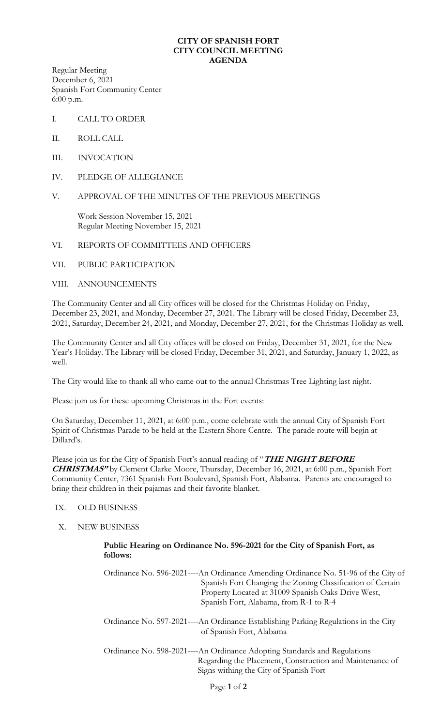## **CITY OF SPANISH FORT CITY COUNCIL MEETING AGENDA**

Regular Meeting December 6, 2021 Spanish Fort Community Center 6:00 p.m.

- I. CALL TO ORDER
- II. ROLL CALL
- III. INVOCATION
- IV. PLEDGE OF ALLEGIANCE

## V. APPROVAL OF THE MINUTES OF THE PREVIOUS MEETINGS

Work Session November 15, 2021 Regular Meeting November 15, 2021

#### VI. REPORTS OF COMMITTEES AND OFFICERS

## VII. PUBLIC PARTICIPATION

#### VIII. ANNOUNCEMENTS

The Community Center and all City offices will be closed for the Christmas Holiday on Friday, December 23, 2021, and Monday, December 27, 2021. The Library will be closed Friday, December 23, 2021, Saturday, December 24, 2021, and Monday, December 27, 2021, for the Christmas Holiday as well.

The Community Center and all City offices will be closed on Friday, December 31, 2021, for the New Year's Holiday. The Library will be closed Friday, December 31, 2021, and Saturday, January 1, 2022, as well.

The City would like to thank all who came out to the annual Christmas Tree Lighting last night.

Please join us for these upcoming Christmas in the Fort events:

On Saturday, December 11, 2021, at 6:00 p.m., come celebrate with the annual City of Spanish Fort Spirit of Christmas Parade to be held at the Eastern Shore Centre. The parade route will begin at Dillard's.

Please join us for the City of Spanish Fort's annual reading of "**THE NIGHT BEFORE CHRISTMAS"** by Clement Clarke Moore, Thursday, December 16, 2021, at 6:00 p.m., Spanish Fort Community Center, 7361 Spanish Fort Boulevard, Spanish Fort, Alabama. Parents are encouraged to bring their children in their pajamas and their favorite blanket.

# IX. OLD BUSINESS

X. NEW BUSINESS

## **Public Hearing on Ordinance No. 596-2021 for the City of Spanish Fort, as follows:**

Ordinance No. 596-2021----An Ordinance Amending Ordinance No. 51-96 of the City of Spanish Fort Changing the Zoning Classification of Certain Property Located at 31009 Spanish Oaks Drive West, Spanish Fort, Alabama, from R-1 to R-4

Ordinance No. 597-2021----An Ordinance Establishing Parking Regulations in the City of Spanish Fort, Alabama

Ordinance No. 598-2021----An Ordinance Adopting Standards and Regulations Regarding the Placement, Construction and Maintenance of Signs withing the City of Spanish Fort